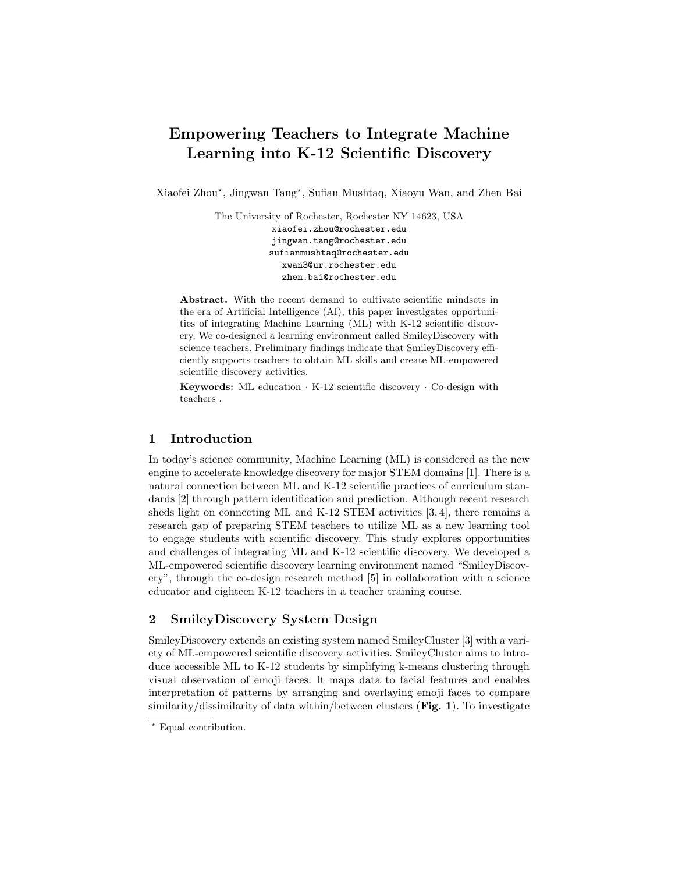# Empowering Teachers to Integrate Machine Learning into K-12 Scientific Discovery

Xiaofei Zhou? , Jingwan Tang? , Sufian Mushtaq, Xiaoyu Wan, and Zhen Bai

The University of Rochester, Rochester NY 14623, USA xiaofei.zhou@rochester.edu jingwan.tang@rochester.edu sufianmushtaq@rochester.edu xwan3@ur.rochester.edu zhen.bai@rochester.edu

Abstract. With the recent demand to cultivate scientific mindsets in the era of Artificial Intelligence (AI), this paper investigates opportunities of integrating Machine Learning (ML) with K-12 scientific discovery. We co-designed a learning environment called SmileyDiscovery with science teachers. Preliminary findings indicate that SmileyDiscovery efficiently supports teachers to obtain ML skills and create ML-empowered scientific discovery activities.

Keywords: ML education  $\cdot$  K-12 scientific discovery  $\cdot$  Co-design with teachers .

#### 1 Introduction

In today's science community, Machine Learning (ML) is considered as the new engine to accelerate knowledge discovery for major STEM domains [1]. There is a natural connection between ML and K-12 scientific practices of curriculum standards [2] through pattern identification and prediction. Although recent research sheds light on connecting ML and K-12 STEM activities [3, 4], there remains a research gap of preparing STEM teachers to utilize ML as a new learning tool to engage students with scientific discovery. This study explores opportunities and challenges of integrating ML and K-12 scientific discovery. We developed a ML-empowered scientific discovery learning environment named "SmileyDiscovery", through the co-design research method [5] in collaboration with a science educator and eighteen K-12 teachers in a teacher training course.

## 2 SmileyDiscovery System Design

SmileyDiscovery extends an existing system named SmileyCluster [3] with a variety of ML-empowered scientific discovery activities. SmileyCluster aims to introduce accessible ML to K-12 students by simplifying k-means clustering through visual observation of emoji faces. It maps data to facial features and enables interpretation of patterns by arranging and overlaying emoji faces to compare similarity/dissimilarity of data within/between clusters  $(Fig. 1)$ . To investigate

<sup>\*</sup> Equal contribution.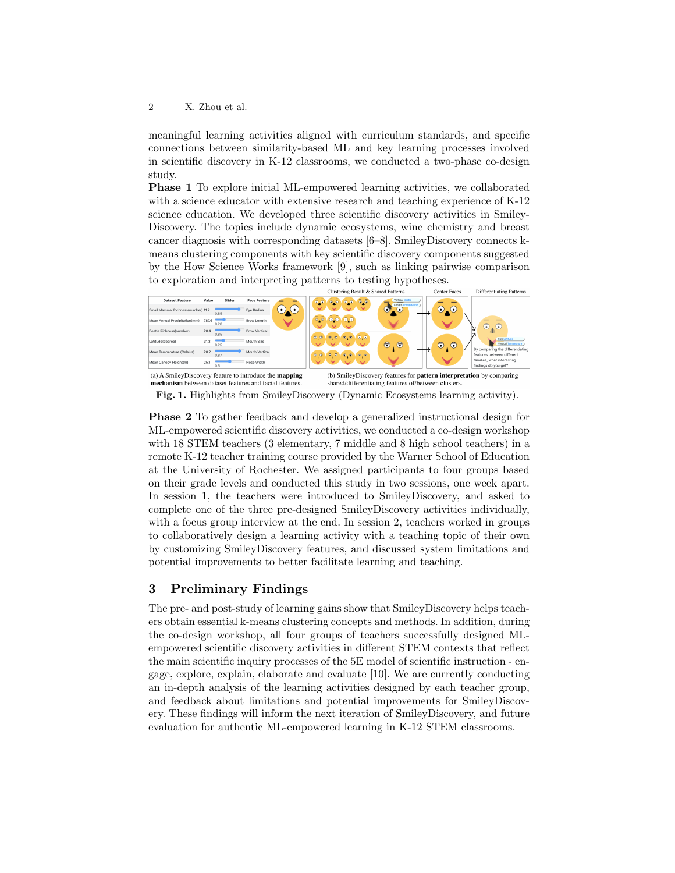meaningful learning activities aligned with curriculum standards, and specific connections between similarity-based ML and key learning processes involved in scientific discovery in K-12 classrooms, we conducted a two-phase co-design study.

Phase 1 To explore initial ML-empowered learning activities, we collaborated with a science educator with extensive research and teaching experience of K-12 science education. We developed three scientific discovery activities in Smiley-Discovery. The topics include dynamic ecosystems, wine chemistry and breast cancer diagnosis with corresponding datasets [6–8]. SmileyDiscovery connects kmeans clustering components with key scientific discovery components suggested by the How Science Works framework [9], such as linking pairwise comparison to exploration and interpreting patterns to testing hypotheses.



mechanism between dataset features and facial fea

shared/differentiating features of/between clust Fig. 1. Highlights from SmileyDiscovery (Dynamic Ecosystems learning activity).

Phase 2 To gather feedback and develop a generalized instructional design for ML-empowered scientific discovery activities, we conducted a co-design workshop with 18 STEM teachers (3 elementary, 7 middle and 8 high school teachers) in a remote K-12 teacher training course provided by the Warner School of Education at the University of Rochester. We assigned participants to four groups based on their grade levels and conducted this study in two sessions, one week apart. In session 1, the teachers were introduced to SmileyDiscovery, and asked to complete one of the three pre-designed SmileyDiscovery activities individually, with a focus group interview at the end. In session 2, teachers worked in groups to collaboratively design a learning activity with a teaching topic of their own by customizing SmileyDiscovery features, and discussed system limitations and potential improvements to better facilitate learning and teaching.

## 3 Preliminary Findings

The pre- and post-study of learning gains show that SmileyDiscovery helps teachers obtain essential k-means clustering concepts and methods. In addition, during the co-design workshop, all four groups of teachers successfully designed MLempowered scientific discovery activities in different STEM contexts that reflect the main scientific inquiry processes of the 5E model of scientific instruction - engage, explore, explain, elaborate and evaluate [10]. We are currently conducting an in-depth analysis of the learning activities designed by each teacher group, and feedback about limitations and potential improvements for SmileyDiscovery. These findings will inform the next iteration of SmileyDiscovery, and future evaluation for authentic ML-empowered learning in K-12 STEM classrooms.

<sup>2</sup> X. Zhou et al.